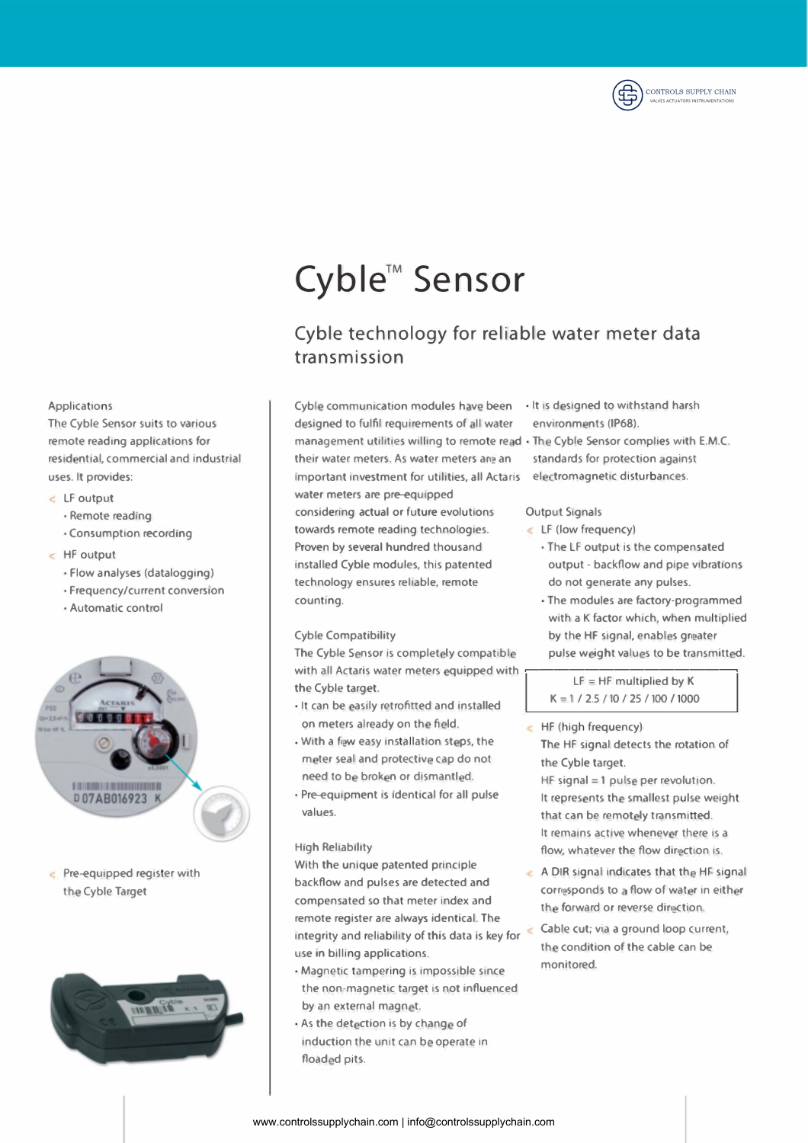

# **Cyble™ Sensor**

## Cyble technology for reliable water meter data transmission

Cyble communication modules have been  $\cdot$  It is designed to withstand harsh designed to fulfil requirements of all water environments (IP68). management utilities willing to remote read · The Cyble Sensor complies with E.M.C. their water meters. As water meters are an standards for protection against important investment for utilities, all Actaris electromagnetic disturbances. water meters are pre-equipped considering actual or future evolutions towards remote reading technologies. Proven by several hundred thousand installed Cyble modules, this patented technology ensures reliable, remote counting.

#### Cyble Compatibility

The Cyble Sensor is completely compatible with all Actaris water meters equipped with the Cyble target. The Cybe target  $LF = HF$  multiplied by K

- lt can be asily retrofitted and installed on meters already on the field.
- $\cdot$  With a few easy installation steps, the meter seal and protective cap do not need to be broken or dismantled.
- Pre-equipment is identical for all pulse values.

#### High Reliability

With the unique patented principle backflow and pulses are detected and compensated so that meter index and remote register are always identical. The integrity and reliability of this data is key for use in billing applications.

- Magnetic tampering is impossible since the non-magnetic target is not influenced by an external magnet.
- As the detection is by change of induction the unit can be operate in floaded pits.
- 
- 

## **Output Signals**

- $\leq$  LF (low frequency)
	- The LF output is the compensated output - backflow and pipe vibrations do not generate any pulses.
	- The modules are factory-programmed with a K factor which, when multiplied by the HF signal, enables greater pulse weight values to be transmitted.

K = 1 / 2.5 / 10 / 25 / 100 / 1000

 $H$ F (high frequency) The HF signal detects the rotation of the Cyble target.

 $HF$  signal  $=1$  pulse per revolution. It represents the smallest pulse weight that can be remotely transmitted. It remains active whenever there is a flow, whatever the flow direction is.

- $\leq$  A DIR signal indicates that the HF signal corresponds to a flow of water in either the forward or reverse direction.
	- Cable cut; via a ground loop current, the condition of the cable can be monitored.

### Applications

The Cyble Sensor suits to various remote reading applications for residential, commercial and industrial uses. lt provides:

- LF output
	- Remote reading
	- Consumption recording
- HF output
	- Flow analyses (datalogging)
	- Frequency/current conversion
	- Automatic control



 $\epsilon$  Pre-equipped register with the Cyble Target